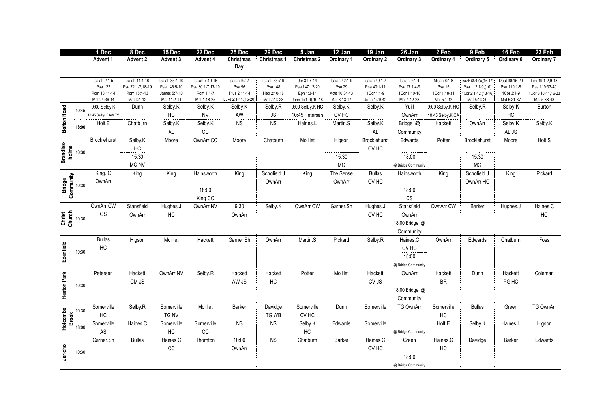|                                                                                                                                                                                                                                                                                                                                                                                                                | 1 Dec               | 8 Dec            | 15 Dec         | 22 Dec           | 25 Dec               | 29 Dec        | 5 Jan               | 12 Jan               | 19 Jan           | 26 Jan                 | 2 Feb            | 9 Feb                   | 16 Feb        | 23 Feb             |
|----------------------------------------------------------------------------------------------------------------------------------------------------------------------------------------------------------------------------------------------------------------------------------------------------------------------------------------------------------------------------------------------------------------|---------------------|------------------|----------------|------------------|----------------------|---------------|---------------------|----------------------|------------------|------------------------|------------------|-------------------------|---------------|--------------------|
|                                                                                                                                                                                                                                                                                                                                                                                                                | Advent 1            | Advent 2         | Advent 3       | Advent 4         | <b>Christmas</b>     | Christmas 1   | Christmas 2         | Ordinary 1           | Ordinary 2       | Ordinary 3             | Ordinary 4       | Ordinary 5              | Ordinary 6    | Ordinary 7         |
|                                                                                                                                                                                                                                                                                                                                                                                                                |                     |                  |                |                  | Day                  |               |                     |                      |                  |                        |                  |                         |               |                    |
|                                                                                                                                                                                                                                                                                                                                                                                                                | Isaiah 2:1-5        | Isaiah 11:1-10   | Isaiah 35:1-10 | Isaiah 7:10-16   | Isaiah 9:2-7         | Isaiah 63:7-9 | Jer 31:7-14         | <b>Isaiah 42:1-9</b> | Isaiah 49:1-7    | Isaiah 9:1-4           | Micah 6:1-8      | Isaiah 58:1-9a, (9b-12) | Deut 30:15-20 | Lev 19:1-2,9-18    |
|                                                                                                                                                                                                                                                                                                                                                                                                                | Psa 122             | Psa 72:1-7,18-19 | Psa 146:5-10   | Psa 80:1-7,17-19 | Psa 96               | Psa 148       | Psa 147:12-20       | Psa 29               | Psa 40:1-11      | Psa 27:1,4-9           | Psa 15           | Psa 112:1-9,(10)        | Psa 119:1-8   | Psa 119:33-40      |
|                                                                                                                                                                                                                                                                                                                                                                                                                | Rom 13:11-14        | Rom 15:4-13      | James 5:7-10   | Rom 1:1-7        | Titus 2:11-14        | Heb 2:10-18   | Eph 1:3-14          | Acts 10:34-43        | 1Cor 1:1-9       | 1Cor 1:10-18           | 1Cor 1:18-31     | 1Cor 2:1-12, (13-16)    | 1Cor 3:1-9    | 1Cor 3:10-11,16-23 |
|                                                                                                                                                                                                                                                                                                                                                                                                                | Mat 24:36-44        | Mat 3:1-12       | Mat 11:2-11    | Mat 1:18-25      | Luke 2:1-14, (15-20) | Mat 2:13-23   | John 1:(1-9), 10-18 | Mat 3:13-17          | John 1:29-42     | Mat 4:12-23            | Mat 5:1-12       | Mat 5:13-20             | Mat 5:21-37   | Mat 5:38-48        |
| 10:45                                                                                                                                                                                                                                                                                                                                                                                                          | 9:00 Selby.K        | Dunn             | Selby.K        | Selby.K          | Selby.K              | Selby.R       | 9:00 Selby K HC     | Selby.K              | Selby.K          | Yuill                  | 9:00 Selby K HC  | Selby.R                 | Selby.K       | Burton             |
|                                                                                                                                                                                                                                                                                                                                                                                                                | 10:45 Selby.K AW TY |                  | HC             | <b>NV</b>        | AW                   | <b>JS</b>     | 10:45 Petersen      | CV <sub>HC</sub>     |                  | OwnArr                 | 10:45 Selby K CA |                         | HC            |                    |
| <b>Bolton Road</b>                                                                                                                                                                                                                                                                                                                                                                                             | Holt.E              | Chatburn         | Selby.K        | Selby.K          | <b>NS</b>            | NS            | Haines.L            | Martin.S             | Selby.K          | Bridge @               | Hackett          | OwnArr                  | Selby.K       | Selby.K            |
| 18:00                                                                                                                                                                                                                                                                                                                                                                                                          |                     |                  | AL             | CC               |                      |               |                     |                      | AL               | Community              |                  |                         | AL JS         |                    |
|                                                                                                                                                                                                                                                                                                                                                                                                                | Brocklehurst        | Selby.K          | Moore          | OwnArr CC        | Moore                | Chatburn      | Moilliet            | Higson               | Brocklehurst     | Edwards                | Potter           | Brocklehurst            | Moore         | Holt.S             |
| <b>Brandles-</b><br><b>Dolff</b> 10:30                                                                                                                                                                                                                                                                                                                                                                         |                     |                  |                |                  |                      |               |                     |                      |                  |                        |                  |                         |               |                    |
|                                                                                                                                                                                                                                                                                                                                                                                                                |                     | HC               |                |                  |                      |               |                     |                      | CV <sub>HC</sub> |                        |                  |                         |               |                    |
|                                                                                                                                                                                                                                                                                                                                                                                                                |                     | 15:30            |                |                  |                      |               |                     | 15:30                |                  | 18:00                  |                  | 15:30                   |               |                    |
|                                                                                                                                                                                                                                                                                                                                                                                                                |                     | MC NV            |                |                  |                      |               |                     | <b>MC</b>            |                  | @ Bridge Community     |                  | $MC$                    |               |                    |
|                                                                                                                                                                                                                                                                                                                                                                                                                | King. G             | King             | King           | Hainsworth       | King                 | Schofield.J   | King                | The Sense            | <b>Bullas</b>    | Hainsworth             | King             | Schofield.J             | King          | Pickard            |
|                                                                                                                                                                                                                                                                                                                                                                                                                | OwnArr              |                  |                |                  |                      | OwnArr        |                     | OwnArr               | CV <sub>HC</sub> |                        |                  | OwnArr HC               |               |                    |
|                                                                                                                                                                                                                                                                                                                                                                                                                |                     |                  |                | 18:00            |                      |               |                     |                      |                  | 18:00                  |                  |                         |               |                    |
| Bridge<br>Community<br>Community                                                                                                                                                                                                                                                                                                                                                                               |                     |                  |                |                  |                      |               |                     |                      |                  |                        |                  |                         |               |                    |
|                                                                                                                                                                                                                                                                                                                                                                                                                |                     |                  |                | King CC          |                      |               |                     |                      |                  | $\mathbb{C}\mathbb{S}$ |                  |                         |               |                    |
|                                                                                                                                                                                                                                                                                                                                                                                                                | OwnArr CW           | Stansfield       | Hughes.J       | OwnArr NV        | 9:30                 | Selby.K       | OwnArr CW           | Garner.Sh            | Hughes.J         | Stansfield             | OwnArr CW        | Barker                  | Hughes.J      | Haines.C           |
| ist<br>Che 10:30                                                                                                                                                                                                                                                                                                                                                                                               | GS                  | OwnArr           | HC             |                  | OwnArr               |               |                     |                      | CV <sub>HC</sub> | OwnArr                 |                  |                         |               | HC                 |
|                                                                                                                                                                                                                                                                                                                                                                                                                |                     |                  |                |                  |                      |               |                     |                      |                  | 18:00 Bridge @         |                  |                         |               |                    |
|                                                                                                                                                                                                                                                                                                                                                                                                                |                     |                  |                |                  |                      |               |                     |                      |                  | Community              |                  |                         |               |                    |
|                                                                                                                                                                                                                                                                                                                                                                                                                | <b>Bullas</b>       | Higson           | Moilliet       | Hackett          | Garner.Sh            | OwnArr        | Martin.S            | Pickard              | Selby.R          | Haines.C               | OwnArr           | Edwards                 | Chatburn      | Foss               |
|                                                                                                                                                                                                                                                                                                                                                                                                                |                     |                  |                |                  |                      |               |                     |                      |                  |                        |                  |                         |               |                    |
| 10:30                                                                                                                                                                                                                                                                                                                                                                                                          | HC                  |                  |                |                  |                      |               |                     |                      |                  | CV HC                  |                  |                         |               |                    |
| Edenfield                                                                                                                                                                                                                                                                                                                                                                                                      |                     |                  |                |                  |                      |               |                     |                      |                  | 18:00                  |                  |                         |               |                    |
|                                                                                                                                                                                                                                                                                                                                                                                                                |                     |                  |                |                  |                      |               |                     |                      |                  | @ Bridge Community     |                  |                         |               |                    |
|                                                                                                                                                                                                                                                                                                                                                                                                                | Petersen            | Hackett          | OwnArr NV      | Selby.R          | Hackett              | Hackett       | Potter              | Moilliet             | Hackett          | OwnArr                 | Hackett          | Dunn                    | Hackett       | Coleman            |
|                                                                                                                                                                                                                                                                                                                                                                                                                |                     | CM JS            |                |                  | AW JS                | HC            |                     |                      | CV JS            |                        | <b>BR</b>        |                         | PG HC         |                    |
| 10:30                                                                                                                                                                                                                                                                                                                                                                                                          |                     |                  |                |                  |                      |               |                     |                      |                  | 18:00 Bridge @         |                  |                         |               |                    |
| <b>Heaton Park</b>                                                                                                                                                                                                                                                                                                                                                                                             |                     |                  |                |                  |                      |               |                     |                      |                  |                        |                  |                         |               |                    |
|                                                                                                                                                                                                                                                                                                                                                                                                                |                     |                  |                |                  |                      |               |                     |                      |                  | Community              |                  |                         |               |                    |
|                                                                                                                                                                                                                                                                                                                                                                                                                | Somerville          | Selby.R          | Somerville     | Moilliet         | Barker               | Davidge       | Somerville          | Dunn                 | Somerville       | <b>TG OwnArr</b>       | Somerville       | <b>Bullas</b>           | Green         | TG OwnArr          |
|                                                                                                                                                                                                                                                                                                                                                                                                                | HC                  |                  | TG NV          |                  |                      | TG WB         | CV <sub>HC</sub>    |                      |                  |                        | HC               |                         |               |                    |
| $\begin{array}{@{}c@{\hspace{1em}}c@{\hspace{1em}}c@{\hspace{1em}}c@{\hspace{1em}}c@{\hspace{1em}}c@{\hspace{1em}}c@{\hspace{1em}}c@{\hspace{1em}}c@{\hspace{1em}}c@{\hspace{1em}}c@{\hspace{1em}}c@{\hspace{1em}}c@{\hspace{1em}}c@{\hspace{1em}}c@{\hspace{1em}}c@{\hspace{1em}}c@{\hspace{1em}}c@{\hspace{1em}}c@{\hspace{1em}}c@{\hspace{1em}}c@{\hspace{1em}}c@{\hspace{1em}}c@{\hspace{1em}}c@{\hspace{$ | Somerville          | Haines.C         | Somerville     | Somerville       | <b>NS</b>            | <b>NS</b>     | Selby.K             | Edwards              | Somerville       |                        | Holt.E           | Selby.K                 | Haines.L      | Higson             |
|                                                                                                                                                                                                                                                                                                                                                                                                                | AS                  |                  | $\sf HC$       | $_{\rm CC}$      |                      |               | $\sf HC$            |                      |                  | @ Bridge Community     |                  |                         |               |                    |
|                                                                                                                                                                                                                                                                                                                                                                                                                | Garner.Sh           | <b>Bullas</b>    | Haines.C       | Thornton         | 10:00                | <b>NS</b>     | Chatburn            | <b>Barker</b>        | Haines.C         | Green                  | Haines.C         | Davidge                 | Barker        | Edwards            |
|                                                                                                                                                                                                                                                                                                                                                                                                                |                     |                  | $_{\rm CC}$    |                  |                      |               |                     |                      | CV <sub>HC</sub> |                        | $\sf HC$         |                         |               |                    |
| Jericho<br>10:30                                                                                                                                                                                                                                                                                                                                                                                               |                     |                  |                |                  | OwnArr               |               |                     |                      |                  |                        |                  |                         |               |                    |
|                                                                                                                                                                                                                                                                                                                                                                                                                |                     |                  |                |                  |                      |               |                     |                      |                  | 18:00                  |                  |                         |               |                    |
|                                                                                                                                                                                                                                                                                                                                                                                                                |                     |                  |                |                  |                      |               |                     |                      |                  | @ Bridge Community     |                  |                         |               |                    |